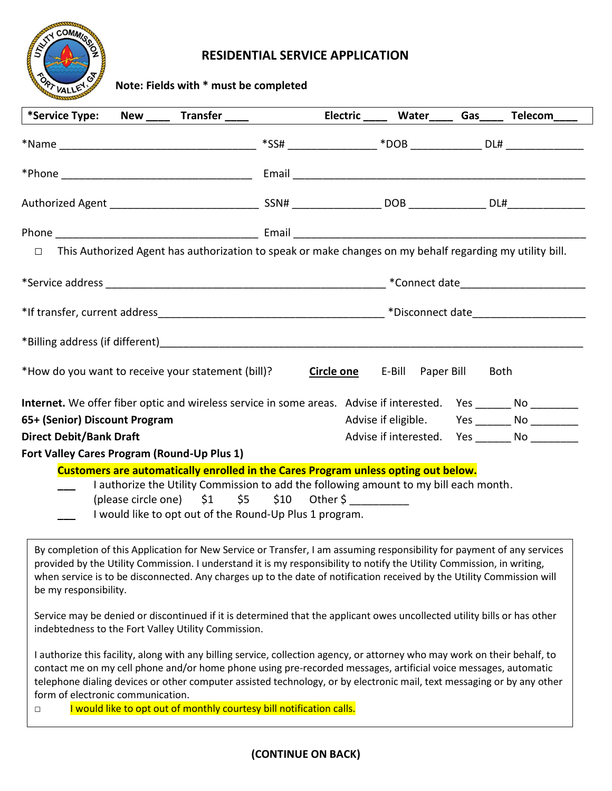

## **RESIDENTIAL SERVICE APPLICATION**

**Note: Fields with \* must be completed**

| *Service Type: New _____ Transfer _____ Electric ____ Water Gas ___ Telecom_                                                                                                                                                                                                                                                                                                                         |  |                                     |                                                   |
|------------------------------------------------------------------------------------------------------------------------------------------------------------------------------------------------------------------------------------------------------------------------------------------------------------------------------------------------------------------------------------------------------|--|-------------------------------------|---------------------------------------------------|
|                                                                                                                                                                                                                                                                                                                                                                                                      |  |                                     |                                                   |
|                                                                                                                                                                                                                                                                                                                                                                                                      |  |                                     |                                                   |
|                                                                                                                                                                                                                                                                                                                                                                                                      |  |                                     |                                                   |
|                                                                                                                                                                                                                                                                                                                                                                                                      |  |                                     |                                                   |
| This Authorized Agent has authorization to speak or make changes on my behalf regarding my utility bill.<br>$\Box$                                                                                                                                                                                                                                                                                   |  |                                     |                                                   |
|                                                                                                                                                                                                                                                                                                                                                                                                      |  |                                     |                                                   |
| *If transfer, current address example and the set of the set of the set of the set of the set of the set of the set of the set of the set of the set of the set of the set of the set of the set of the set of the set of the                                                                                                                                                                        |  |                                     |                                                   |
|                                                                                                                                                                                                                                                                                                                                                                                                      |  |                                     |                                                   |
| *How do you want to receive your statement (bill)?                                                                                                                                                                                                                                                                                                                                                   |  | <b>Circle one</b> E-Bill Paper Bill | Both                                              |
| Internet. We offer fiber optic and wireless service in some areas. Advise if interested. Yes ______ No _______                                                                                                                                                                                                                                                                                       |  |                                     |                                                   |
| 65+ (Senior) Discount Program                                                                                                                                                                                                                                                                                                                                                                        |  |                                     | Advise if eligible. Yes _______ No ________       |
| <b>Direct Debit/Bank Draft</b>                                                                                                                                                                                                                                                                                                                                                                       |  |                                     | Advise if interested. Yes _________ No __________ |
| Fort Valley Cares Program (Round-Up Plus 1)                                                                                                                                                                                                                                                                                                                                                          |  |                                     |                                                   |
| Customers are automatically enrolled in the Cares Program unless opting out below.<br>I authorize the Utility Commission to add the following amount to my bill each month.<br>(please circle one) $$1$ $$5$ $$10$ Other \$<br>I would like to opt out of the Round-Up Plus 1 program.                                                                                                               |  |                                     |                                                   |
| By completion of this Application for New Service or Transfer, I am assuming responsibility for payment of any services<br>provided by the Utility Commission. I understand it is my responsibility to notify the Utility Commission, in writing,<br>when service is to be disconnected. Any charges up to the date of notification received by the Utility Commission will<br>be my responsibility. |  |                                     |                                                   |

Service may be denied or discontinued if it is determined that the applicant owes uncollected utility bills or has other indebtedness to the Fort Valley Utility Commission.

I authorize this facility, along with any billing service, collection agency, or attorney who may work on their behalf, to contact me on my cell phone and/or home phone using pre-recorded messages, artificial voice messages, automatic telephone dialing devices or other computer assisted technology, or by electronic mail, text messaging or by any other form of electronic communication.

□ I would like to opt out of monthly courtesy bill notification calls.